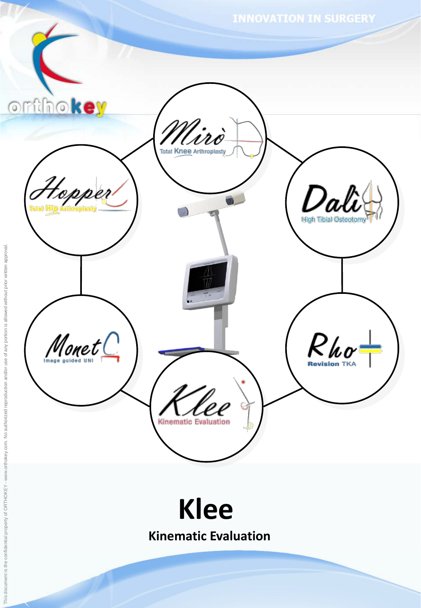